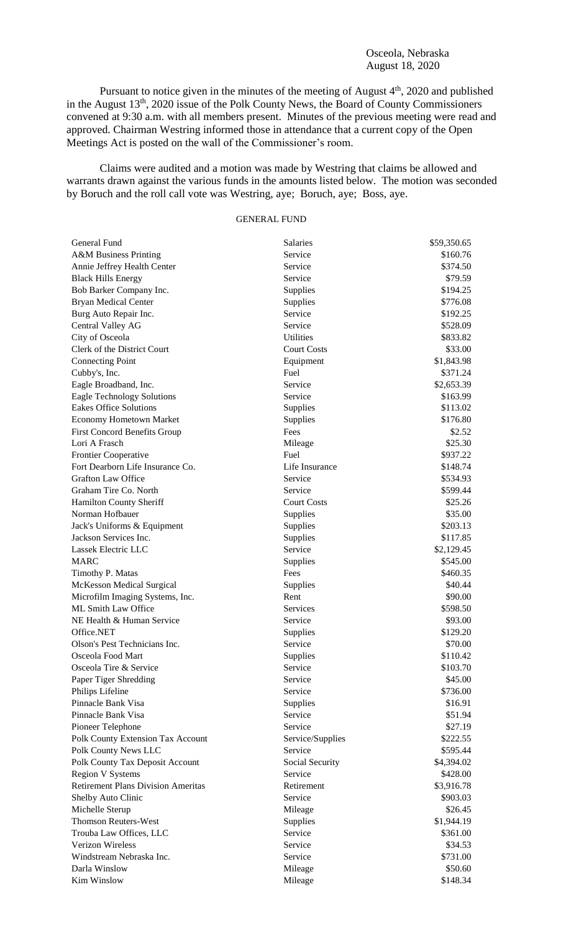## Osceola, Nebraska August 18, 2020

Pursuant to notice given in the minutes of the meeting of August 4<sup>th</sup>, 2020 and published in the August 13<sup>th</sup>, 2020 issue of the Polk County News, the Board of County Commissioners convened at 9:30 a.m. with all members present. Minutes of the previous meeting were read and approved. Chairman Westring informed those in attendance that a current copy of the Open Meetings Act is posted on the wall of the Commissioner's room.

Claims were audited and a motion was made by Westring that claims be allowed and warrants drawn against the various funds in the amounts listed below. The motion was seconded by Boruch and the roll call vote was Westring, aye; Boruch, aye; Boss, aye.

## GENERAL FUND

| General Fund                                       | <b>Salaries</b>     | \$59,350.65           |
|----------------------------------------------------|---------------------|-----------------------|
| <b>A&amp;M Business Printing</b>                   | Service             | \$160.76              |
| Annie Jeffrey Health Center                        | Service             | \$374.50              |
| <b>Black Hills Energy</b>                          | Service             | \$79.59               |
| Bob Barker Company Inc.                            | Supplies            | \$194.25              |
| <b>Bryan Medical Center</b>                        | Supplies            | \$776.08              |
| Burg Auto Repair Inc.                              | Service             | \$192.25              |
| Central Valley AG                                  | Service             | \$528.09              |
| City of Osceola                                    | <b>Utilities</b>    | \$833.82              |
| Clerk of the District Court                        | <b>Court Costs</b>  | \$33.00               |
| <b>Connecting Point</b>                            | Equipment           | \$1,843.98            |
| Cubby's, Inc.                                      | Fuel                | \$371.24              |
| Eagle Broadband, Inc.                              | Service             | \$2,653.39            |
| <b>Eagle Technology Solutions</b>                  | Service             | \$163.99              |
| <b>Eakes Office Solutions</b>                      | Supplies            | \$113.02              |
| <b>Economy Hometown Market</b>                     | Supplies            | \$176.80              |
| <b>First Concord Benefits Group</b>                | Fees                | \$2.52                |
| Lori A Frasch                                      | Mileage             | \$25.30               |
| Frontier Cooperative                               | Fuel                | \$937.22              |
| Fort Dearborn Life Insurance Co.                   | Life Insurance      | \$148.74              |
| <b>Grafton Law Office</b>                          | Service             | \$534.93              |
| Graham Tire Co. North                              | Service             | \$599.44              |
| Hamilton County Sheriff                            | <b>Court Costs</b>  | \$25.26               |
| Norman Hofbauer                                    | Supplies            | \$35.00               |
| Jack's Uniforms & Equipment                        | Supplies            | \$203.13              |
| Jackson Services Inc.                              | Supplies            | \$117.85              |
| Lassek Electric LLC                                | Service             | \$2,129.45            |
| <b>MARC</b>                                        | Supplies            | \$545.00              |
| Timothy P. Matas                                   | Fees                | \$460.35              |
| <b>McKesson Medical Surgical</b>                   | Supplies            | \$40.44               |
| Microfilm Imaging Systems, Inc.                    | Rent                | \$90.00               |
| ML Smith Law Office                                | <b>Services</b>     | \$598.50              |
| NE Health & Human Service                          | Service             | \$93.00               |
| Office.NET                                         | Supplies            | \$129.20              |
| Olson's Pest Technicians Inc.                      | Service             | \$70.00               |
| Osceola Food Mart                                  | Supplies            | \$110.42              |
| Osceola Tire & Service                             | Service             | \$103.70              |
| Paper Tiger Shredding                              | Service             | \$45.00               |
| Philips Lifeline                                   | Service             | \$736.00              |
| Pinnacle Bank Visa                                 | Supplies            | \$16.91               |
| Pinnacle Bank Visa                                 | Service             | \$51.94               |
| Pioneer Telephone                                  | Service             | \$27.19               |
| Polk County Extension Tax Account                  | Service/Supplies    | \$222.55              |
| Polk County News LLC                               | Service             | \$595.44              |
| Polk County Tax Deposit Account                    | Social Security     | \$4,394.02            |
| <b>Region V Systems</b>                            | Service             | \$428.00              |
| <b>Retirement Plans Division Ameritas</b>          | Retirement          | \$3,916.78            |
| Shelby Auto Clinic                                 | Service             | \$903.03              |
|                                                    |                     |                       |
| Michelle Sterup<br><b>Thomson Reuters-West</b>     | Mileage             | \$26.45<br>\$1,944.19 |
|                                                    | Supplies<br>Service |                       |
| Trouba Law Offices, LLC<br><b>Verizon Wireless</b> | Service             | \$361.00              |
|                                                    | Service             | \$34.53               |
| Windstream Nebraska Inc.                           |                     | \$731.00              |
| Darla Winslow                                      | Mileage             | \$50.60               |
| Kim Winslow                                        | Mileage             | \$148.34              |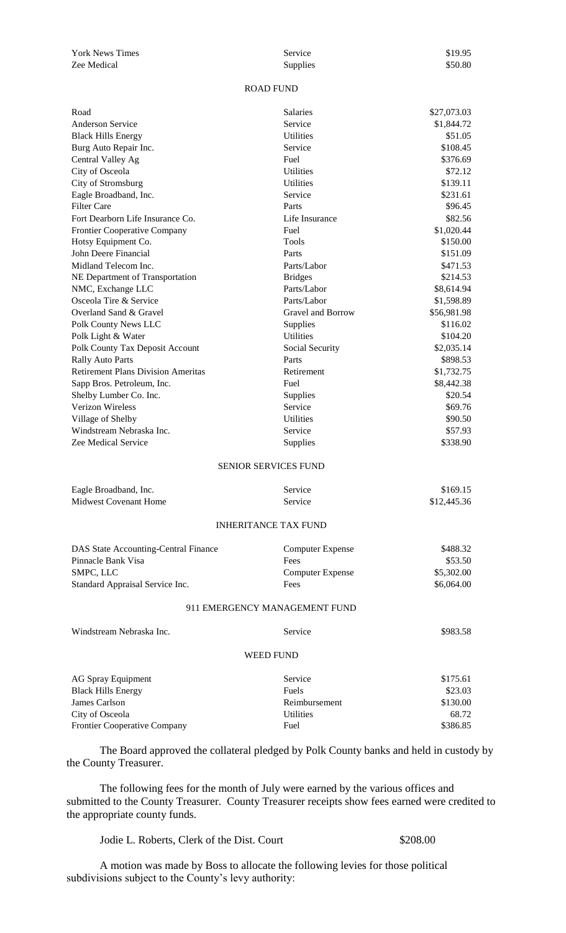York News Times Service Service Service Service S19.95 Zee Medical Supplies \$50.80

## ROAD FUND

| Road                                      | Salaries                      | \$27,073.03 |
|-------------------------------------------|-------------------------------|-------------|
| Anderson Service                          | Service                       | \$1,844.72  |
| <b>Black Hills Energy</b>                 | <b>Utilities</b>              | \$51.05     |
| Burg Auto Repair Inc.                     | Service                       | \$108.45    |
| Central Valley Ag                         | Fuel                          | \$376.69    |
| City of Osceola                           | <b>Utilities</b>              | \$72.12     |
| City of Stromsburg                        | <b>Utilities</b>              | \$139.11    |
| Eagle Broadband, Inc.                     | Service                       | \$231.61    |
| <b>Filter Care</b>                        | Parts                         | \$96.45     |
| Fort Dearborn Life Insurance Co.          | Life Insurance                | \$82.56     |
| Frontier Cooperative Company              | Fuel                          | \$1,020.44  |
| Hotsy Equipment Co.                       | Tools                         | \$150.00    |
| John Deere Financial                      | Parts                         | \$151.09    |
| Midland Telecom Inc.                      | Parts/Labor                   | \$471.53    |
| NE Department of Transportation           | <b>Bridges</b>                | \$214.53    |
| NMC, Exchange LLC                         | Parts/Labor                   | \$8,614.94  |
| Osceola Tire & Service                    | Parts/Labor                   | \$1,598.89  |
| Overland Sand & Gravel                    | Gravel and Borrow             | \$56,981.98 |
| Polk County News LLC                      | Supplies                      | \$116.02    |
| Polk Light & Water                        | <b>Utilities</b>              | \$104.20    |
| Polk County Tax Deposit Account           | Social Security               | \$2,035.14  |
| <b>Rally Auto Parts</b>                   | Parts                         | \$898.53    |
| <b>Retirement Plans Division Ameritas</b> | Retirement                    | \$1,732.75  |
| Sapp Bros. Petroleum, Inc.                | Fuel                          | \$8,442.38  |
| Shelby Lumber Co. Inc.                    | <b>Supplies</b>               | \$20.54     |
| Verizon Wireless                          | Service                       | \$69.76     |
| Village of Shelby                         | <b>Utilities</b>              | \$90.50     |
| Windstream Nebraska Inc.                  | Service                       | \$57.93     |
| Zee Medical Service                       | <b>Supplies</b>               | \$338.90    |
|                                           | <b>SENIOR SERVICES FUND</b>   |             |
| Eagle Broadband, Inc.                     | Service                       | \$169.15    |
| <b>Midwest Covenant Home</b>              | Service                       | \$12,445.36 |
|                                           | <b>INHERITANCE TAX FUND</b>   |             |
| DAS State Accounting-Central Finance      | <b>Computer Expense</b>       | \$488.32    |
| Pinnacle Bank Visa                        | Fees                          | \$53.50     |
| SMPC, LLC                                 | <b>Computer Expense</b>       | \$5,302.00  |
| Standard Appraisal Service Inc.           | Fees                          | \$6,064.00  |
|                                           | 911 EMERGENCY MANAGEMENT FUND |             |
| Windstream Nebraska Inc.                  | Service                       | \$983.58    |
|                                           | WEED FUND                     |             |
| <b>AG Spray Equipment</b>                 | Service                       | \$175.61    |
| <b>Black Hills Energy</b>                 | Fuels                         | \$23.03     |
| James Carlson                             | Reimbursement                 | \$130.00    |
| City of Osceola                           | <b>Utilities</b>              | 68.72       |
| Frontier Cooperative Company              | Fuel                          | \$386.85    |
|                                           |                               |             |

The Board approved the collateral pledged by Polk County banks and held in custody by the County Treasurer.

The following fees for the month of July were earned by the various offices and submitted to the County Treasurer. County Treasurer receipts show fees earned were credited to the appropriate county funds.

Jodie L. Roberts, Clerk of the Dist. Court \$208.00

A motion was made by Boss to allocate the following levies for those political subdivisions subject to the County's levy authority: